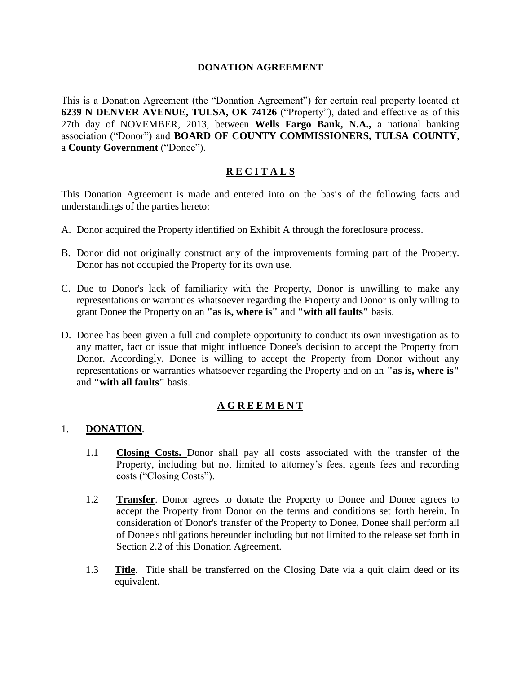## **DONATION AGREEMENT**

This is a Donation Agreement (the "Donation Agreement") for certain real property located at **6239 N DENVER AVENUE, TULSA, OK 74126** ("Property"), dated and effective as of this 27th day of NOVEMBER, 2013, between **Wells Fargo Bank, N.A.,** a national banking association ("Donor") and **BOARD OF COUNTY COMMISSIONERS, TULSA COUNTY**, a **County Government** ("Donee").

# **R E C I T A L S**

This Donation Agreement is made and entered into on the basis of the following facts and understandings of the parties hereto:

- A. Donor acquired the Property identified on Exhibit A through the foreclosure process.
- B. Donor did not originally construct any of the improvements forming part of the Property. Donor has not occupied the Property for its own use.
- C. Due to Donor's lack of familiarity with the Property, Donor is unwilling to make any representations or warranties whatsoever regarding the Property and Donor is only willing to grant Donee the Property on an **"as is, where is"** and **"with all faults"** basis.
- D. Donee has been given a full and complete opportunity to conduct its own investigation as to any matter, fact or issue that might influence Donee's decision to accept the Property from Donor. Accordingly, Donee is willing to accept the Property from Donor without any representations or warranties whatsoever regarding the Property and on an **"as is, where is"** and **"with all faults"** basis.

## **A G R E E M E N T**

### 1. **DONATION**.

- 1.1 **Closing Costs.** Donor shall pay all costs associated with the transfer of the Property, including but not limited to attorney's fees, agents fees and recording costs ("Closing Costs").
- 1.2 **Transfer**. Donor agrees to donate the Property to Donee and Donee agrees to accept the Property from Donor on the terms and conditions set forth herein. In consideration of Donor's transfer of the Property to Donee, Donee shall perform all of Donee's obligations hereunder including but not limited to the release set forth in Section [2.2](#page-2-0) of this Donation Agreement.
- 1.3 **Title**. Title shall be transferred on the Closing Date via a quit claim deed or its equivalent.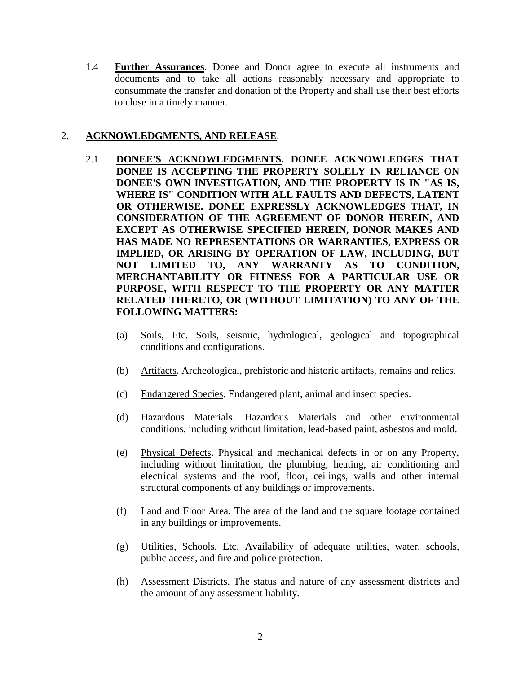1.4 **Further Assurances**. Donee and Donor agree to execute all instruments and documents and to take all actions reasonably necessary and appropriate to consummate the transfer and donation of the Property and shall use their best efforts to close in a timely manner.

## 2. **ACKNOWLEDGMENTS, AND RELEASE**.

- 2.1 **DONEE'S ACKNOWLEDGMENTS. DONEE ACKNOWLEDGES THAT DONEE IS ACCEPTING THE PROPERTY SOLELY IN RELIANCE ON DONEE'S OWN INVESTIGATION, AND THE PROPERTY IS IN "AS IS, WHERE IS" CONDITION WITH ALL FAULTS AND DEFECTS, LATENT OR OTHERWISE. DONEE EXPRESSLY ACKNOWLEDGES THAT, IN CONSIDERATION OF THE AGREEMENT OF DONOR HEREIN, AND EXCEPT AS OTHERWISE SPECIFIED HEREIN, DONOR MAKES AND HAS MADE NO REPRESENTATIONS OR WARRANTIES, EXPRESS OR IMPLIED, OR ARISING BY OPERATION OF LAW, INCLUDING, BUT NOT LIMITED TO, ANY WARRANTY AS TO CONDITION, MERCHANTABILITY OR FITNESS FOR A PARTICULAR USE OR PURPOSE, WITH RESPECT TO THE PROPERTY OR ANY MATTER RELATED THERETO, OR (WITHOUT LIMITATION) TO ANY OF THE FOLLOWING MATTERS:**
	- (a) Soils, Etc. Soils, seismic, hydrological, geological and topographical conditions and configurations.
	- (b) Artifacts. Archeological, prehistoric and historic artifacts, remains and relics.
	- (c) Endangered Species. Endangered plant, animal and insect species.
	- (d) Hazardous Materials. Hazardous Materials and other environmental conditions, including without limitation, lead-based paint, asbestos and mold.
	- (e) Physical Defects. Physical and mechanical defects in or on any Property, including without limitation, the plumbing, heating, air conditioning and electrical systems and the roof, floor, ceilings, walls and other internal structural components of any buildings or improvements.
	- (f) Land and Floor Area. The area of the land and the square footage contained in any buildings or improvements.
	- (g) Utilities, Schools, Etc. Availability of adequate utilities, water, schools, public access, and fire and police protection.
	- (h) Assessment Districts. The status and nature of any assessment districts and the amount of any assessment liability.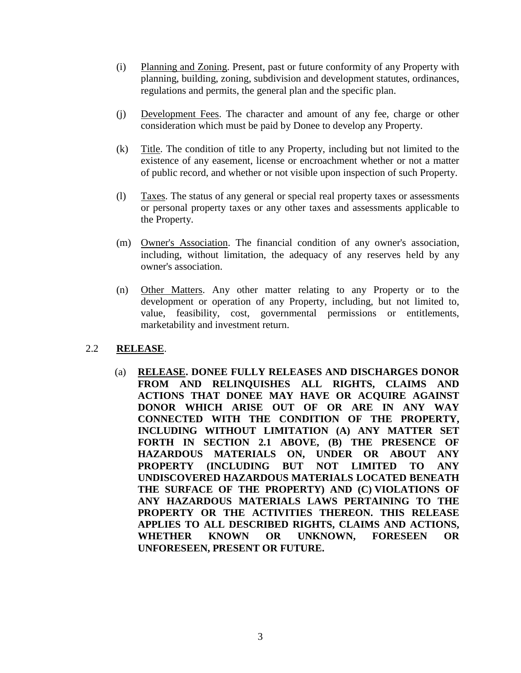- (i) Planning and Zoning. Present, past or future conformity of any Property with planning, building, zoning, subdivision and development statutes, ordinances, regulations and permits, the general plan and the specific plan.
- (j) Development Fees. The character and amount of any fee, charge or other consideration which must be paid by Donee to develop any Property.
- (k) Title. The condition of title to any Property, including but not limited to the existence of any easement, license or encroachment whether or not a matter of public record, and whether or not visible upon inspection of such Property.
- (l) Taxes. The status of any general or special real property taxes or assessments or personal property taxes or any other taxes and assessments applicable to the Property.
- (m) Owner's Association. The financial condition of any owner's association, including, without limitation, the adequacy of any reserves held by any owner's association.
- (n) Other Matters. Any other matter relating to any Property or to the development or operation of any Property, including, but not limited to, value, feasibility, cost, governmental permissions or entitlements, marketability and investment return.

## <span id="page-2-0"></span>2.2 **RELEASE**.

(a) **RELEASE. DONEE FULLY RELEASES AND DISCHARGES DONOR FROM AND RELINQUISHES ALL RIGHTS, CLAIMS AND ACTIONS THAT DONEE MAY HAVE OR ACQUIRE AGAINST DONOR WHICH ARISE OUT OF OR ARE IN ANY WAY CONNECTED WITH THE CONDITION OF THE PROPERTY, INCLUDING WITHOUT LIMITATION (A) ANY MATTER SET FORTH IN SECTION 2.1 ABOVE, (B) THE PRESENCE OF HAZARDOUS MATERIALS ON, UNDER OR ABOUT ANY PROPERTY (INCLUDING BUT NOT LIMITED TO ANY UNDISCOVERED HAZARDOUS MATERIALS LOCATED BENEATH THE SURFACE OF THE PROPERTY) AND (C) VIOLATIONS OF ANY HAZARDOUS MATERIALS LAWS PERTAINING TO THE PROPERTY OR THE ACTIVITIES THEREON. THIS RELEASE APPLIES TO ALL DESCRIBED RIGHTS, CLAIMS AND ACTIONS, WHETHER KNOWN OR UNKNOWN, FORESEEN OR UNFORESEEN, PRESENT OR FUTURE.**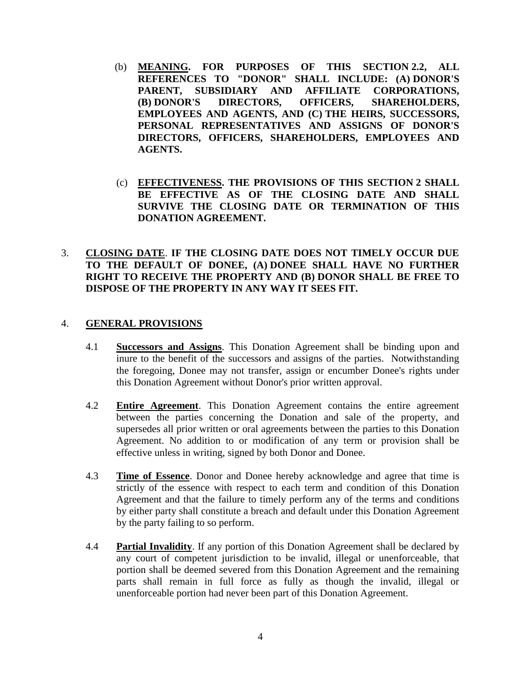- (b) **MEANING. FOR PURPOSES OF THIS SECTION 2.2, ALL REFERENCES TO "DONOR" SHALL INCLUDE: (A) DONOR'S PARENT, SUBSIDIARY AND AFFILIATE CORPORATIONS, (B) DONOR'S DIRECTORS, OFFICERS, SHAREHOLDERS, EMPLOYEES AND AGENTS, AND (C) THE HEIRS, SUCCESSORS, PERSONAL REPRESENTATIVES AND ASSIGNS OF DONOR'S DIRECTORS, OFFICERS, SHAREHOLDERS, EMPLOYEES AND AGENTS.**
- (c) **EFFECTIVENESS. THE PROVISIONS OF THIS SECTION 2 SHALL BE EFFECTIVE AS OF THE CLOSING DATE AND SHALL SURVIVE THE CLOSING DATE OR TERMINATION OF THIS DONATION AGREEMENT.**

## 3. **CLOSING DATE**. **IF THE CLOSING DATE DOES NOT TIMELY OCCUR DUE TO THE DEFAULT OF DONEE, (A) DONEE SHALL HAVE NO FURTHER RIGHT TO RECEIVE THE PROPERTY AND (B) DONOR SHALL BE FREE TO DISPOSE OF THE PROPERTY IN ANY WAY IT SEES FIT.**

### 4. **GENERAL PROVISIONS**

- 4.1 **Successors and Assigns**. This Donation Agreement shall be binding upon and inure to the benefit of the successors and assigns of the parties. Notwithstanding the foregoing, Donee may not transfer, assign or encumber Donee's rights under this Donation Agreement without Donor's prior written approval.
- 4.2 **Entire Agreement**. This Donation Agreement contains the entire agreement between the parties concerning the Donation and sale of the property, and supersedes all prior written or oral agreements between the parties to this Donation Agreement. No addition to or modification of any term or provision shall be effective unless in writing, signed by both Donor and Donee.
- 4.3 **Time of Essence**. Donor and Donee hereby acknowledge and agree that time is strictly of the essence with respect to each term and condition of this Donation Agreement and that the failure to timely perform any of the terms and conditions by either party shall constitute a breach and default under this Donation Agreement by the party failing to so perform.
- 4.4 **Partial Invalidity**. If any portion of this Donation Agreement shall be declared by any court of competent jurisdiction to be invalid, illegal or unenforceable, that portion shall be deemed severed from this Donation Agreement and the remaining parts shall remain in full force as fully as though the invalid, illegal or unenforceable portion had never been part of this Donation Agreement.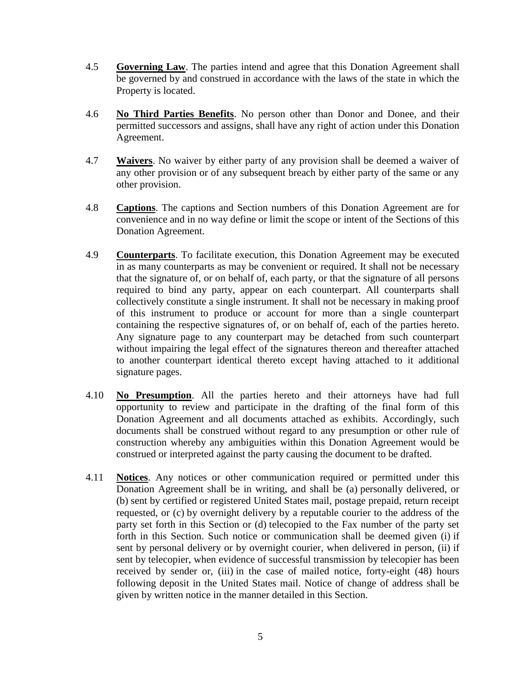- 4.5 **Governing Law**. The parties intend and agree that this Donation Agreement shall be governed by and construed in accordance with the laws of the state in which the Property is located.
- 4.6 **No Third Parties Benefits**. No person other than Donor and Donee, and their permitted successors and assigns, shall have any right of action under this Donation Agreement.
- 4.7 **Waivers**. No waiver by either party of any provision shall be deemed a waiver of any other provision or of any subsequent breach by either party of the same or any other provision.
- 4.8 **Captions**. The captions and Section numbers of this Donation Agreement are for convenience and in no way define or limit the scope or intent of the Sections of this Donation Agreement.
- 4.9 **Counterparts**. To facilitate execution, this Donation Agreement may be executed in as many counterparts as may be convenient or required. It shall not be necessary that the signature of, or on behalf of, each party, or that the signature of all persons required to bind any party, appear on each counterpart. All counterparts shall collectively constitute a single instrument. It shall not be necessary in making proof of this instrument to produce or account for more than a single counterpart containing the respective signatures of, or on behalf of, each of the parties hereto. Any signature page to any counterpart may be detached from such counterpart without impairing the legal effect of the signatures thereon and thereafter attached to another counterpart identical thereto except having attached to it additional signature pages.
- 4.10 **No Presumption**. All the parties hereto and their attorneys have had full opportunity to review and participate in the drafting of the final form of this Donation Agreement and all documents attached as exhibits. Accordingly, such documents shall be construed without regard to any presumption or other rule of construction whereby any ambiguities within this Donation Agreement would be construed or interpreted against the party causing the document to be drafted.
- 4.11 **Notices**. Any notices or other communication required or permitted under this Donation Agreement shall be in writing, and shall be (a) personally delivered, or (b) sent by certified or registered United States mail, postage prepaid, return receipt requested, or (c) by overnight delivery by a reputable courier to the address of the party set forth in this Section or (d) telecopied to the Fax number of the party set forth in this Section. Such notice or communication shall be deemed given (i) if sent by personal delivery or by overnight courier, when delivered in person, (ii) if sent by telecopier, when evidence of successful transmission by telecopier has been received by sender or, (iii) in the case of mailed notice, forty-eight (48) hours following deposit in the United States mail. Notice of change of address shall be given by written notice in the manner detailed in this Section.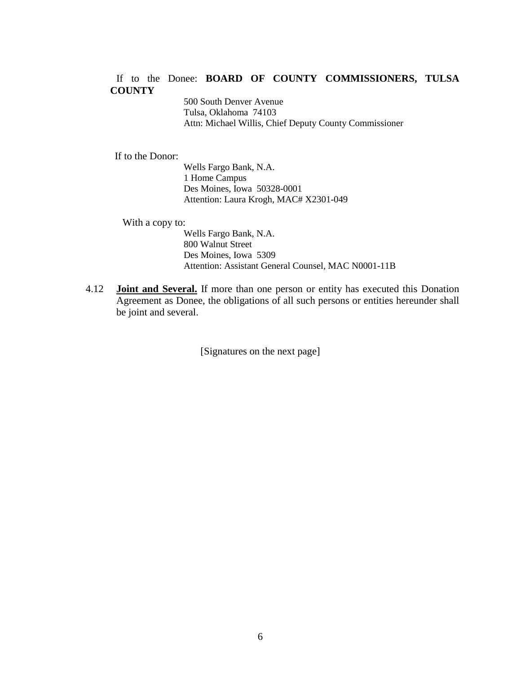### If to the Donee: **BOARD OF COUNTY COMMISSIONERS, TULSA COUNTY**

500 South Denver Avenue Tulsa, Oklahoma 74103 Attn: Michael Willis, Chief Deputy County Commissioner

If to the Donor:

Wells Fargo Bank, N.A. 1 Home Campus Des Moines, Iowa 50328-0001 Attention: Laura Krogh, MAC# X2301-049

With a copy to:

Wells Fargo Bank, N.A. 800 Walnut Street Des Moines, Iowa 5309 Attention: Assistant General Counsel, MAC N0001-11B

4.12 **Joint and Several.** If more than one person or entity has executed this Donation Agreement as Donee, the obligations of all such persons or entities hereunder shall be joint and several.

[Signatures on the next page]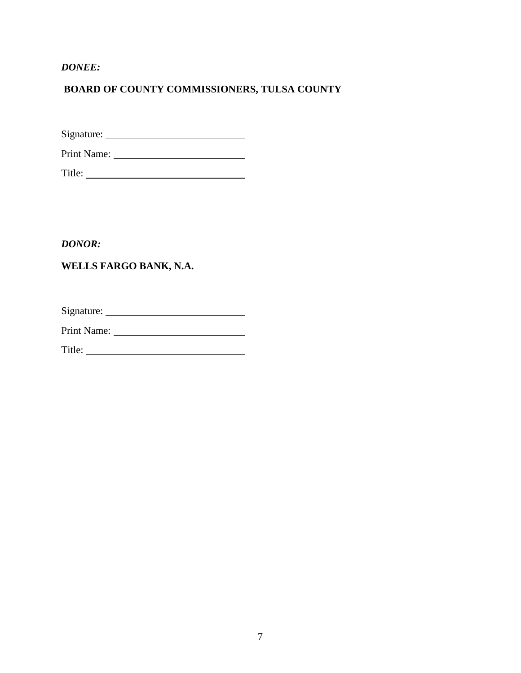*DONEE:*

# **BOARD OF COUNTY COMMISSIONERS, TULSA COUNTY**

Signature:

Print Name:

Title:

*DONOR:*

# **WELLS FARGO BANK, N.A.**

Signature:

Print Name:

Title: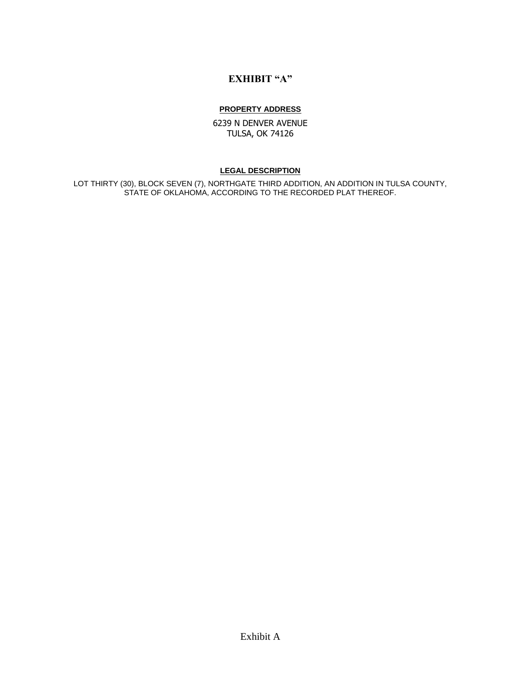# **EXHIBIT "A"**

#### **PROPERTY ADDRESS**

6239 N DENVER AVENUE TULSA, OK 74126

#### **LEGAL DESCRIPTION**

LOT THIRTY (30), BLOCK SEVEN (7), NORTHGATE THIRD ADDITION, AN ADDITION IN TULSA COUNTY, STATE OF OKLAHOMA, ACCORDING TO THE RECORDED PLAT THEREOF.